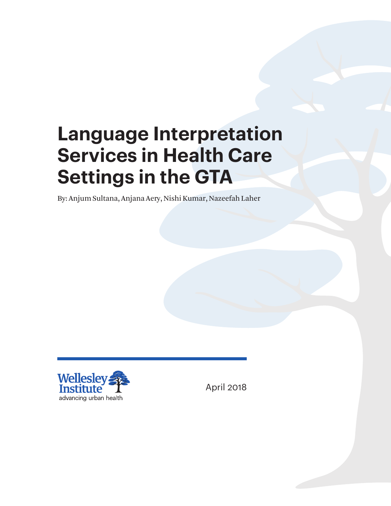# **Language Interpretation Services in Health Care Settings in the GTA**

By: Anjum Sultana, Anjana Aery, Nishi Kumar, Nazeefah Laher



April 2018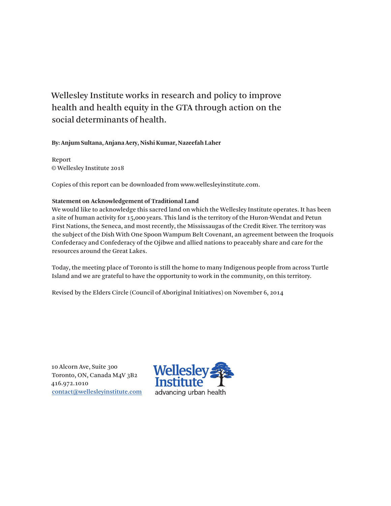### Wellesley Institute works in research and policy to improve health and health equity in the GTA through action on the social determinants of health.

**By: Anjum Sultana, Anjana Aery, Nishi Kumar, Nazeefah Laher**

Report © Wellesley Institute 2018

Copies of this report can be downloaded from www.wellesleyinstitute.com.

#### **Statement on Acknowledgement of Traditional Land**

We would like to acknowledge this sacred land on which the Wellesley Institute operates. It has been a site of human activity for 15,000 years. This land is the territory of the Huron-Wendat and Petun First Nations, the Seneca, and most recently, the Mississaugas of the Credit River. The territory was the subject of the Dish With One Spoon Wampum Belt Covenant, an agreement between the Iroquois Confederacy and Confederacy of the Ojibwe and allied nations to peaceably share and care for the resources around the Great Lakes.

Today, the meeting place of Toronto is still the home to many Indigenous people from across Turtle Island and we are grateful to have the opportunity to work in the community, on this territory.

Revised by the Elders Circle (Council of Aboriginal Initiatives) on November 6, 2014

10 Alcorn Ave, Suite 300 Toronto, ON, Canada M4V 3B2 416.972.1010 [contact@wellesleyinstitute.com](mailto:contact@wellesleyinstitute.com)

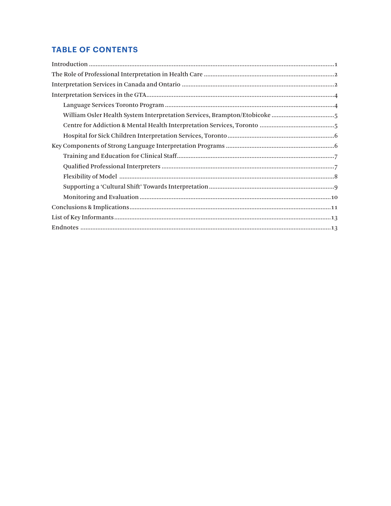#### **TABLE OF CONTENTS**

| William Osler Health System Interpretation Services, Brampton/Etobicoke 5 |
|---------------------------------------------------------------------------|
|                                                                           |
|                                                                           |
|                                                                           |
|                                                                           |
|                                                                           |
|                                                                           |
|                                                                           |
|                                                                           |
|                                                                           |
|                                                                           |
| $Endnotes\begin{minipage}{0.9\linewidth} \end{minipage}$                  |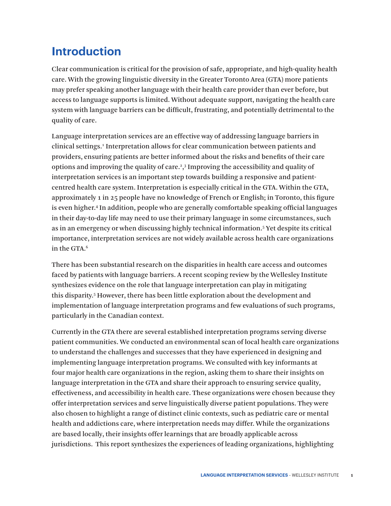## <span id="page-3-0"></span>**Introduction**

Clear communication is critical for the provision of safe, appropriate, and high-quality health care. With the growing linguistic diversity in the Greater Toronto Area (GTA) more patients may prefer speaking another language with their health care provider than ever before, but access to language supports is limited. Without adequate support, navigating the health care system with language barriers can be difficult, frustrating, and potentially detrimental to the quality of care.

Language interpretation services are an effective way of addressing language barriers in clinical settings.<sup>[1](#page-15-0)</sup> Interpretation allows for clear communication between patients and providers, ensuring patients are better informed about the risks and benefits of their care options and improving the quality of care.<sup>2</sup>,<sup>[3](#page-15-0)</sup> Improving the accessibility and quality of interpretation services is an important step towards building a responsive and patientcentred health care system. Interpretation is especially critical in the GTA. Within the GTA, approximately 1 in 25 people have no knowledge of French or English; in Toronto, this figure is even higher[.4](#page-15-0) In addition, people who are generally comfortable speaking official languages in their day-to-day life may need to use their primary language in some circumstances, such as in an emergency or when discussing highly technical information.[5](#page-15-0) Yet despite its critical importance, interpretation services are not widely available across health care organizations in the GTA.<sup>[6](#page-15-0)</sup>

There has been substantial research on the disparities in health care access and outcomes faced by patients with language barriers. A recent scoping review by the Wellesley Institute synthesizes evidence on the role that language interpretation can play in mitigating this disparity.5 However, there has been little exploration about the development and implementation of language interpretation programs and few evaluations of such programs, particularly in the Canadian context.

Currently in the GTA there are several established interpretation programs serving diverse patient communities. We conducted an environmental scan of local health care organizations to understand the challenges and successes that they have experienced in designing and implementing language interpretation programs. We consulted with key informants at four major health care organizations in the region, asking them to share their insights on language interpretation in the GTA and share their approach to ensuring service quality, effectiveness, and accessibility in health care. These organizations were chosen because they offer interpretation services and serve linguistically diverse patient populations. They were also chosen to highlight a range of distinct clinic contexts, such as pediatric care or mental health and addictions care, where interpretation needs may differ. While the organizations are based locally, their insights offer learnings that are broadly applicable across jurisdictions. This report synthesizes the experiences of leading organizations, highlighting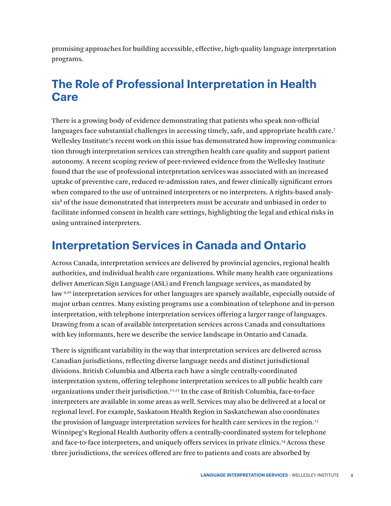<span id="page-4-0"></span>promising approaches for building accessible, effective, high-quality language interpretation programs.

## **The Role of Professional Interpretation in Health Care**

There is a growing body of evidence demonstrating that patients who speak non-official languages face substantial challenges in accessing timely, safe, and appropriate health care.<sup>7</sup> Wellesley Institute's recent work on this issue has demonstrated how improving communication through interpretation services can strengthen health care quality and support patient autonomy. A recent scoping review of peer-reviewed evidence from the Wellesley Institute found that the use of professional interpretation services was associated with an increased uptake of preventive care, reduced re-admission rates, and fewer clinically significant errors when compared to the use of untrained interpreters or no interpreters. A rights-based analysis<sup>8</sup> of the issue demonstrated that interpreters must be accurate and unbiased in order to facilitate informed consent in health care settings, highlighting the legal and ethical risks in using untrained interpreters.

## **Interpretation Services in Canada and Ontario**

Across Canada, interpretation services are delivered by provincial agencies, regional health authorities, and individual health care organizations. While many health care organizations deliver American Sign Language (ASL) and French language services, as mandated by law [9,10](#page-15-0) interpretation services for other languages are sparsely available, especially outside of major urban centres. Many existing programs use a combination of telephone and in-person interpretation, with telephone interpretation services offering a larger range of languages. Drawing from a scan of available interpretation services across Canada and consultations with key informants, here we describe the service landscape in Ontario and Canada.

There is significant variability in the way that interpretation services are delivered across Canadian jurisdictions, reflecting diverse language needs and distinct jurisdictional divisions. British Columbia and Alberta each have a single centrally-coordinated interpretation system, offering telephone interpretation services to all public health care organizations under their jurisdiction.[11,12](#page-15-0) In the case of British Columbia, face-to-face interpreters are available in some areas as well. Services may also be delivered at a local or regional level. For example, Saskatoon Health Region in Saskatchewan also coordinates the provision of language interpretation services for health care services in the region[.13](#page-16-0) Winnipeg's Regional Health Authority offers a centrally-coordinated system for telephone and face-to-face interpreters, and uniquely offers services in private clinics[.14](#page-16-0) Across these three jurisdictions, the services offered are free to patients and costs are absorbed by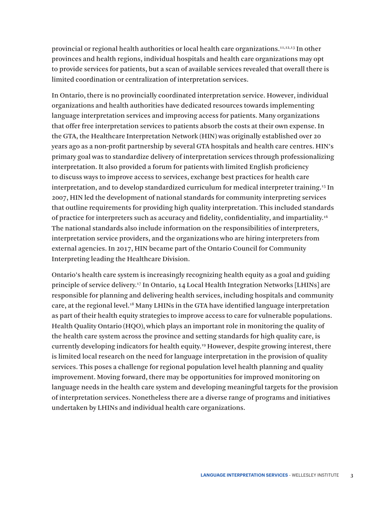<span id="page-5-0"></span>provincial or regional health authorities or local health care organizations.11,12,13 In other provinces and health regions, individual hospitals and health care organizations may opt to provide services for patients, but a scan of available services revealed that overall there is limited coordination or centralization of interpretation services.

In Ontario, there is no provincially coordinated interpretation service. However, individual organizations and health authorities have dedicated resources towards implementing language interpretation services and improving access for patients. Many organizations that offer free interpretation services to patients absorb the costs at their own expense. In the GTA, the Healthcare Interpretation Network (HIN) was originally established over 20 years ago as a non-profit partnership by several GTA hospitals and health care centres. HIN's primary goal was to standardize delivery of interpretation services through professionalizing interpretation. It also provided a forum for patients with limited English proficiency to discuss ways to improve access to services, exchange best practices for health care interpretation, and to develop standardized curriculum for medical interpreter training.[15](#page-16-0) In 2007, HIN led the development of national standards for community interpreting services that outline requirements for providing high quality interpretation. This included standards of practice for interpreters such as accuracy and fidelity, confidentiality, and impartiality.[16](#page-16-0) The national standards also include information on the responsibilities of interpreters, interpretation service providers, and the organizations who are hiring interpreters from external agencies. In 2017, HIN became part of the Ontario Council for Community Interpreting leading the Healthcare Division.

Ontario's health care system is increasingly recognizing health equity as a goal and guiding principle of service delivery[.17](#page-16-0) In Ontario, 14 Local Health Integration Networks [LHINs] are responsible for planning and delivering health services, including hospitals and community care, at the regional level[.18](#page-16-0) Many LHINs in the GTA have identified language interpretation as part of their health equity strategies to improve access to care for vulnerable populations. Health Quality Ontario (HQO), which plays an important role in monitoring the quality of the health care system across the province and setting standards for high quality care, is currently developing indicators for health equity.[19](#page-16-0) However, despite growing interest, there is limited local research on the need for language interpretation in the provision of quality services. This poses a challenge for regional population level health planning and quality improvement. Moving forward, there may be opportunities for improved monitoring on language needs in the health care system and developing meaningful targets for the provision of interpretation services. Nonetheless there are a diverse range of programs and initiatives undertaken by LHINs and individual health care organizations.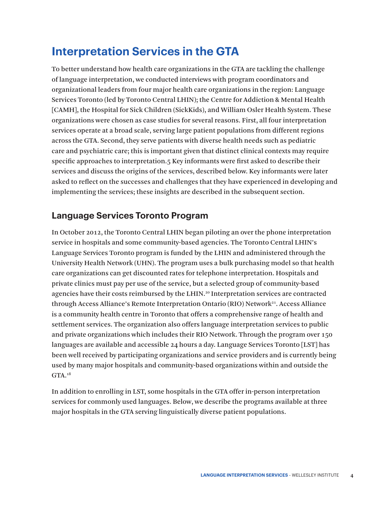## <span id="page-6-0"></span>**Interpretation Services in the GTA**

To better understand how health care organizations in the GTA are tackling the challenge of language interpretation, we conducted interviews with program coordinators and organizational leaders from four major health care organizations in the region: Language Services Toronto (led by Toronto Central LHIN); the Centre for Addiction & Mental Health [CAMH], the Hospital for Sick Children (SickKids), and William Osler Health System. These organizations were chosen as case studies for several reasons. First, all four interpretation services operate at a broad scale, serving large patient populations from different regions across the GTA. Second, they serve patients with diverse health needs such as pediatric care and psychiatric care; this is important given that distinct clinical contexts may require specific approaches to interpretation.5 Key informants were first asked to describe their services and discuss the origins of the services, described below. Key informants were later asked to reflect on the successes and challenges that they have experienced in developing and implementing the services; these insights are described in the subsequent section.

#### **Language Services Toronto Program**

In October 2012, the Toronto Central LHIN began piloting an over the phone interpretation service in hospitals and some community-based agencies. The Toronto Central LHIN's Language Services Toronto program is funded by the LHIN and administered through the University Health Network (UHN). The program uses a bulk purchasing model so that health care organizations can get discounted rates for telephone interpretation. Hospitals and private clinics must pay per use of the service, but a selected group of community-based agencies have their costs reimbursed by the LHIN.<sup>[20](#page-16-0)</sup> Interpretation services are contracted through Access Alliance's Remote Interpretation Ontario (RIO) Network<sup>[21](#page-16-0)</sup>. Access Alliance is a community health centre in Toronto that offers a comprehensive range of health and settlement services. The organization also offers language interpretation services to public and private organizations which includes their RIO Network. Through the program over 150 languages are available and accessible 24 hours a day. Language Services Toronto [LST] has been well received by participating organizations and service providers and is currently being used by many major hospitals and community-based organizations within and outside the  $GTA.18$ 

In addition to enrolling in LST, some hospitals in the GTA offer in-person interpretation services for commonly used languages. Below, we describe the programs available at three major hospitals in the GTA serving linguistically diverse patient populations.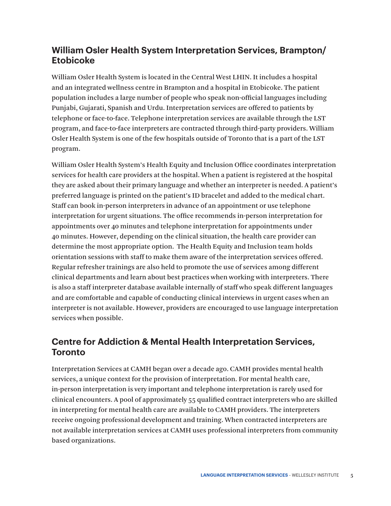#### <span id="page-7-0"></span>**William Osler Health System Interpretation Services, Brampton/ Etobicoke**

William Osler Health System is located in the Central West LHIN. It includes a hospital and an integrated wellness centre in Brampton and a hospital in Etobicoke. The patient population includes a large number of people who speak non-official languages including Punjabi, Gujarati, Spanish and Urdu. Interpretation services are offered to patients by telephone or face-to-face. Telephone interpretation services are available through the LST program, and face-to-face interpreters are contracted through third-party providers. William Osler Health System is one of the few hospitals outside of Toronto that is a part of the LST program.

William Osler Health System's Health Equity and Inclusion Office coordinates interpretation services for health care providers at the hospital. When a patient is registered at the hospital they are asked about their primary language and whether an interpreter is needed. A patient's preferred language is printed on the patient's ID bracelet and added to the medical chart. Staff can book in-person interpreters in advance of an appointment or use telephone interpretation for urgent situations. The office recommends in-person interpretation for appointments over 40 minutes and telephone interpretation for appointments under 40 minutes. However, depending on the clinical situation, the health care provider can determine the most appropriate option. The Health Equity and Inclusion team holds orientation sessions with staff to make them aware of the interpretation services offered. Regular refresher trainings are also held to promote the use of services among different clinical departments and learn about best practices when working with interpreters. There is also a staff interpreter database available internally of staff who speak different languages and are comfortable and capable of conducting clinical interviews in urgent cases when an interpreter is not available. However, providers are encouraged to use language interpretation services when possible.

#### **Centre for Addiction & Mental Health Interpretation Services, Toronto**

Interpretation Services at CAMH began over a decade ago. CAMH provides mental health services, a unique context for the provision of interpretation. For mental health care, in-person interpretation is very important and telephone interpretation is rarely used for clinical encounters. A pool of approximately 55 qualified contract interpreters who are skilled in interpreting for mental health care are available to CAMH providers. The interpreters receive ongoing professional development and training. When contracted interpreters are not available interpretation services at CAMH uses professional interpreters from community based organizations.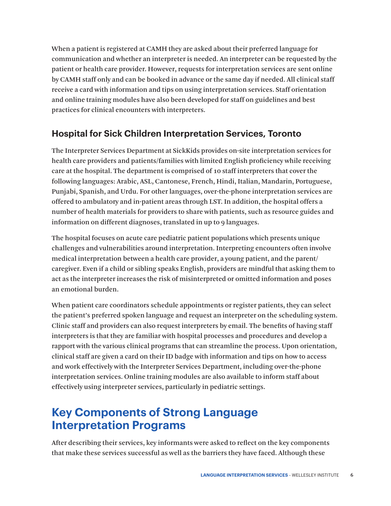<span id="page-8-0"></span>When a patient is registered at CAMH they are asked about their preferred language for communication and whether an interpreter is needed. An interpreter can be requested by the patient or health care provider. However, requests for interpretation services are sent online by CAMH staff only and can be booked in advance or the same day if needed. All clinical staff receive a card with information and tips on using interpretation services. Staff orientation and online training modules have also been developed for staff on guidelines and best practices for clinical encounters with interpreters.

#### **Hospital for Sick Children Interpretation Services, Toronto**

The Interpreter Services Department at SickKids provides on-site interpretation services for health care providers and patients/families with limited English proficiency while receiving care at the hospital. The department is comprised of 10 staff interpreters that cover the following languages: Arabic, ASL, Cantonese, French, Hindi, Italian, Mandarin, Portuguese, Punjabi, Spanish, and Urdu. For other languages, over-the-phone interpretation services are offered to ambulatory and in-patient areas through LST. In addition, the hospital offers a number of health materials for providers to share with patients, such as resource guides and information on different diagnoses, translated in up to 9 languages.

The hospital focuses on acute care pediatric patient populations which presents unique challenges and vulnerabilities around interpretation. Interpreting encounters often involve medical interpretation between a health care provider, a young patient, and the parent/ caregiver. Even if a child or sibling speaks English, providers are mindful that asking them to act as the interpreter increases the risk of misinterpreted or omitted information and poses an emotional burden.

When patient care coordinators schedule appointments or register patients, they can select the patient's preferred spoken language and request an interpreter on the scheduling system. Clinic staff and providers can also request interpreters by email. The benefits of having staff interpreters is that they are familiar with hospital processes and procedures and develop a rapport with the various clinical programs that can streamline the process. Upon orientation, clinical staff are given a card on their ID badge with information and tips on how to access and work effectively with the Interpreter Services Department, including over-the-phone interpretation services. Online training modules are also available to inform staff about effectively using interpreter services, particularly in pediatric settings.

## **Key Components of Strong Language Interpretation Programs**

After describing their services, key informants were asked to reflect on the key components that make these services successful as well as the barriers they have faced. Although these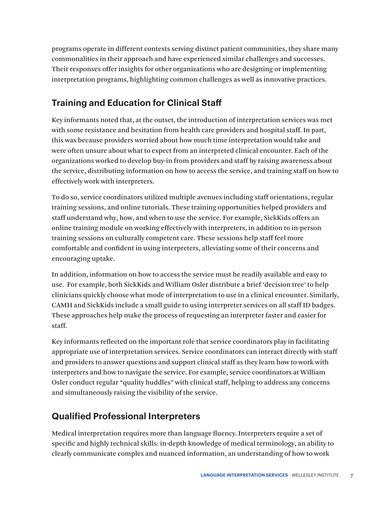<span id="page-9-0"></span>programs operate in different contexts serving distinct patient communities, they share many commonalities in their approach and have experienced similar challenges and successes. Their responses offer insights for other organizations who are designing or implementing interpretation programs, highlighting common challenges as well as innovative practices.

### **Training and Education for Clinical Staff**

Key informants noted that, at the outset, the introduction of interpretation services was met with some resistance and hesitation from health care providers and hospital staff. In part, this was because providers worried about how much time interpretation would take and were often unsure about what to expect from an interpreted clinical encounter. Each of the organizations worked to develop buy-in from providers and staff by raising awareness about the service, distributing information on how to access the service, and training staff on how to effectively work with interpreters.

To do so, service coordinators utilized multiple avenues including staff orientations, regular training sessions, and online tutorials. These training opportunities helped providers and staff understand why, how, and when to use the service. For example, SickKids offers an online training module on working effectively with interpreters, in addition to in-person training sessions on culturally competent care. These sessions help staff feel more comfortable and confident in using interpreters, alleviating some of their concerns and encouraging uptake.

In addition, information on how to access the service must be readily available and easy to use. For example, both SickKids and William Osler distribute a brief 'decision tree' to help clinicians quickly choose what mode of interpretation to use in a clinical encounter. Similarly, CAMH and SickKids include a small guide to using interpreter services on all staff ID badges. These approaches help make the process of requesting an interpreter faster and easier for staff.

Key informants reflected on the important role that service coordinators play in facilitating appropriate use of interpretation services. Service coordinators can interact directly with staff and providers to answer questions and support clinical staff as they learn how to work with interpreters and how to navigate the service. For example, service coordinators at William Osler conduct regular "quality huddles" with clinical staff, helping to address any concerns and simultaneously raising the visibility of the service.

#### **Qualified Professional Interpreters**

Medical interpretation requires more than language fluency. Interpreters require a set of specific and highly technical skills: in-depth knowledge of medical terminology, an ability to clearly communicate complex and nuanced information, an understanding of how to work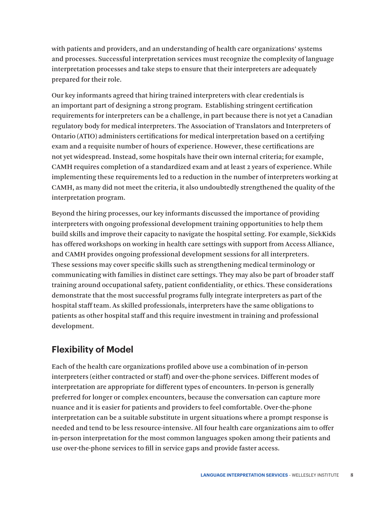<span id="page-10-0"></span>with patients and providers, and an understanding of health care organizations' systems and processes. Successful interpretation services must recognize the complexity of language interpretation processes and take steps to ensure that their interpreters are adequately prepared for their role.

Our key informants agreed that hiring trained interpreters with clear credentials is an important part of designing a strong program. Establishing stringent certification requirements for interpreters can be a challenge, in part because there is not yet a Canadian regulatory body for medical interpreters. The Association of Translators and Interpreters of Ontario (ATIO) administers certifications for medical interpretation based on a certifying exam and a requisite number of hours of experience. However, these certifications are not yet widespread. Instead, some hospitals have their own internal criteria; for example, CAMH requires completion of a standardized exam and at least 2 years of experience. While implementing these requirements led to a reduction in the number of interpreters working at CAMH, as many did not meet the criteria, it also undoubtedly strengthened the quality of the interpretation program.

Beyond the hiring processes, our key informants discussed the importance of providing interpreters with ongoing professional development training opportunities to help them build skills and improve their capacity to navigate the hospital setting. For example, SickKids has offered workshops on working in health care settings with support from Access Alliance, and CAMH provides ongoing professional development sessions for all interpreters. These sessions may cover specific skills such as strengthening medical terminology or communicating with families in distinct care settings. They may also be part of broader staff training around occupational safety, patient confidentiality, or ethics. These considerations demonstrate that the most successful programs fully integrate interpreters as part of the hospital staff team. As skilled professionals, interpreters have the same obligations to patients as other hospital staff and this require investment in training and professional development.

#### **Flexibility of Model**

Each of the health care organizations profiled above use a combination of in-person interpreters (either contracted or staff) and over-the-phone services. Different modes of interpretation are appropriate for different types of encounters. In-person is generally preferred for longer or complex encounters, because the conversation can capture more nuance and it is easier for patients and providers to feel comfortable. Over-the-phone interpretation can be a suitable substitute in urgent situations where a prompt response is needed and tend to be less resource-intensive. All four health care organizations aim to offer in-person interpretation for the most common languages spoken among their patients and use over-the-phone services to fill in service gaps and provide faster access.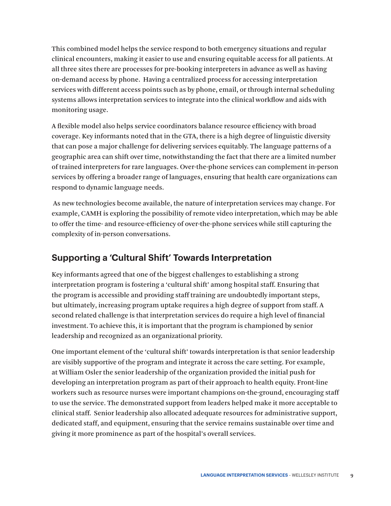<span id="page-11-0"></span>This combined model helps the service respond to both emergency situations and regular clinical encounters, making it easier to use and ensuring equitable access for all patients. At all three sites there are processes for pre-booking interpreters in advance as well as having on-demand access by phone. Having a centralized process for accessing interpretation services with different access points such as by phone, email, or through internal scheduling systems allows interpretation services to integrate into the clinical workflow and aids with monitoring usage.

A flexible model also helps service coordinators balance resource efficiency with broad coverage. Key informants noted that in the GTA, there is a high degree of linguistic diversity that can pose a major challenge for delivering services equitably. The language patterns of a geographic area can shift over time, notwithstanding the fact that there are a limited number of trained interpreters for rare languages. Over-the-phone services can complement in-person services by offering a broader range of languages, ensuring that health care organizations can respond to dynamic language needs.

 As new technologies become available, the nature of interpretation services may change. For example, CAMH is exploring the possibility of remote video interpretation, which may be able to offer the time- and resource-efficiency of over-the-phone services while still capturing the complexity of in-person conversations.

#### **Supporting a 'Cultural Shift' Towards Interpretation**

Key informants agreed that one of the biggest challenges to establishing a strong interpretation program is fostering a 'cultural shift' among hospital staff. Ensuring that the program is accessible and providing staff training are undoubtedly important steps, but ultimately, increasing program uptake requires a high degree of support from staff. A second related challenge is that interpretation services do require a high level of financial investment. To achieve this, it is important that the program is championed by senior leadership and recognized as an organizational priority.

One important element of the 'cultural shift' towards interpretation is that senior leadership are visibly supportive of the program and integrate it across the care setting. For example, at William Osler the senior leadership of the organization provided the initial push for developing an interpretation program as part of their approach to health equity. Front-line workers such as resource nurses were important champions on-the-ground, encouraging staff to use the service. The demonstrated support from leaders helped make it more acceptable to clinical staff. Senior leadership also allocated adequate resources for administrative support, dedicated staff, and equipment, ensuring that the service remains sustainable over time and giving it more prominence as part of the hospital's overall services.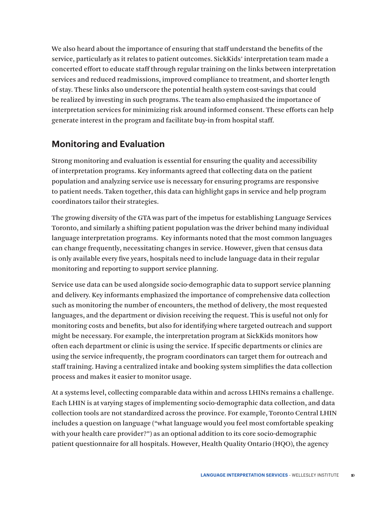<span id="page-12-0"></span>We also heard about the importance of ensuring that staff understand the benefits of the service, particularly as it relates to patient outcomes. SickKids' interpretation team made a concerted effort to educate staff through regular training on the links between interpretation services and reduced readmissions, improved compliance to treatment, and shorter length of stay. These links also underscore the potential health system cost-savings that could be realized by investing in such programs. The team also emphasized the importance of interpretation services for minimizing risk around informed consent. These efforts can help generate interest in the program and facilitate buy-in from hospital staff.

#### **Monitoring and Evaluation**

Strong monitoring and evaluation is essential for ensuring the quality and accessibility of interpretation programs. Key informants agreed that collecting data on the patient population and analyzing service use is necessary for ensuring programs are responsive to patient needs. Taken together, this data can highlight gaps in service and help program coordinators tailor their strategies.

The growing diversity of the GTA was part of the impetus for establishing Language Services Toronto, and similarly a shifting patient population was the driver behind many individual language interpretation programs. Key informants noted that the most common languages can change frequently, necessitating changes in service. However, given that census data is only available every five years, hospitals need to include language data in their regular monitoring and reporting to support service planning.

Service use data can be used alongside socio-demographic data to support service planning and delivery. Key informants emphasized the importance of comprehensive data collection such as monitoring the number of encounters, the method of delivery, the most requested languages, and the department or division receiving the request. This is useful not only for monitoring costs and benefits, but also for identifying where targeted outreach and support might be necessary. For example, the interpretation program at SickKids monitors how often each department or clinic is using the service. If specific departments or clinics are using the service infrequently, the program coordinators can target them for outreach and staff training. Having a centralized intake and booking system simplifies the data collection process and makes it easier to monitor usage.

At a systems level, collecting comparable data within and across LHINs remains a challenge. Each LHIN is at varying stages of implementing socio-demographic data collection, and data collection tools are not standardized across the province. For example, Toronto Central LHIN includes a question on language ("what language would you feel most comfortable speaking with your health care provider?") as an optional addition to its core socio-demographic patient questionnaire for all hospitals. However, Health Quality Ontario (HQO), the agency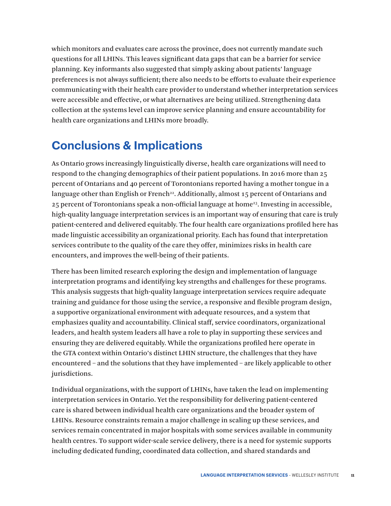<span id="page-13-0"></span>which monitors and evaluates care across the province, does not currently mandate such questions for all LHINs. This leaves significant data gaps that can be a barrier for service planning. Key informants also suggested that simply asking about patients' language preferences is not always sufficient; there also needs to be efforts to evaluate their experience communicating with their health care provider to understand whether interpretation services were accessible and effective, or what alternatives are being utilized. Strengthening data collection at the systems level can improve service planning and ensure accountability for health care organizations and LHINs more broadly.

## **Conclusions & Implications**

As Ontario grows increasingly linguistically diverse, health care organizations will need to respond to the changing demographics of their patient populations. In 2016 more than 25 percent of Ontarians and 40 percent of Torontonians reported having a mother tongue in a language other than English or French<sup>22</sup>. Additionally, almost 15 percent of Ontarians and  $25$  percent of Torontonians speak a non-official language at home<sup>23</sup>. Investing in accessible, high-quality language interpretation services is an important way of ensuring that care is truly patient-centered and delivered equitably. The four health care organizations profiled here has made linguistic accessibility an organizational priority. Each has found that interpretation services contribute to the quality of the care they offer, minimizes risks in health care encounters, and improves the well-being of their patients.

There has been limited research exploring the design and implementation of language interpretation programs and identifying key strengths and challenges for these programs. This analysis suggests that high-quality language interpretation services require adequate training and guidance for those using the service, a responsive and flexible program design, a supportive organizational environment with adequate resources, and a system that emphasizes quality and accountability. Clinical staff, service coordinators, organizational leaders, and health system leaders all have a role to play in supporting these services and ensuring they are delivered equitably. While the organizations profiled here operate in the GTA context within Ontario's distinct LHIN structure, the challenges that they have encountered – and the solutions that they have implemented – are likely applicable to other jurisdictions.

Individual organizations, with the support of LHINs, have taken the lead on implementing interpretation services in Ontario. Yet the responsibility for delivering patient-centered care is shared between individual health care organizations and the broader system of LHINs. Resource constraints remain a major challenge in scaling up these services, and services remain concentrated in major hospitals with some services available in community health centres. To support wider-scale service delivery, there is a need for systemic supports including dedicated funding, coordinated data collection, and shared standards and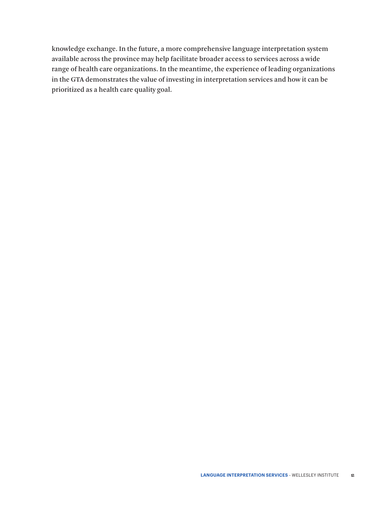knowledge exchange. In the future, a more comprehensive language interpretation system available across the province may help facilitate broader access to services across a wide range of health care organizations. In the meantime, the experience of leading organizations in the GTA demonstrates the value of investing in interpretation services and how it can be prioritized as a health care quality goal.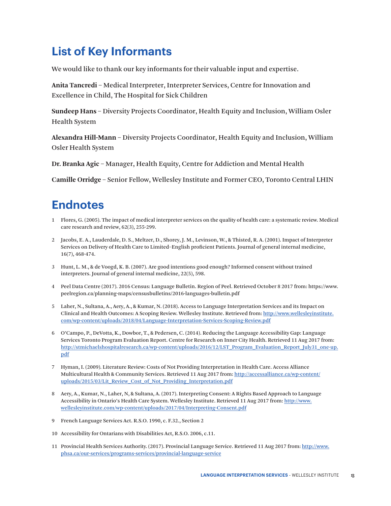## <span id="page-15-0"></span>**List of Key Informants**

We would like to thank our key informants for their valuable input and expertise.

**Anita Tancredi** – Medical Interpreter, Interpreter Services, Centre for Innovation and Excellence in Child, The Hospital for Sick Children

**Sundeep Hans** – Diversity Projects Coordinator, Health Equity and Inclusion, William Osler Health System

**Alexandra Hill-Mann** – Diversity Projects Coordinator, Health Equity and Inclusion, William Osler Health System

**Dr. Branka Agic** – Manager, Health Equity, Centre for Addiction and Mental Health

**Camille Orridge** – Senior Fellow, Wellesley Institute and Former CEO, Toronto Central LHIN

## **Endnotes**

- [1](#page-3-0) Flores, G. (2005). The impact of medical interpreter services on the quality of health care: a systematic review. Medical care research and review, 62(3), 255-299.
- [2](#page-3-0) Jacobs, E. A., Lauderdale, D. S., Meltzer, D., Shorey, J. M., Levinson, W., & Thisted, R. A. (2001). Impact of Interpreter Services on Delivery of Health Care to Limited–English proficient Patients. Journal of general internal medicine, 16(7), 468-474.
- [3](#page-3-0) Hunt, L. M., & de Voogd, K. B. (2007). Are good intentions good enough? Informed consent without trained interpreters. Journal of general internal medicine, 22(5), 598.
- [4](#page-3-0) Peel Data Centre (2017). 2016 Census: Language Bulletin. Region of Peel. Retrieved October 8 2017 from: https://www. peelregion.ca/planning-maps/censusbulletins/2016-languages-bulletin.pdf
- [5](#page-3-0) Laher, N., Sultana, A., Aery, A., & Kumar, N. (2018). Access to Language Interpretation Services and its Impact on Clinical and Health Outcomes: A Scoping Review. Wellesley Institute. Retrieved from: [http://www.wellesleyinstitute.](http://www.wellesleyinstitute.com/wp-content/uploads/2018/04/Language-Interpretation-Services-Scoping-Review.pdf) [com/wp-content/uploads/2018/04/Language-Interpretation-Services-Scoping-Review.pdf](http://www.wellesleyinstitute.com/wp-content/uploads/2018/04/Language-Interpretation-Services-Scoping-Review.pdf)
- [6](#page-3-0) O'Campo, P., DeVotta, K., Dowbor, T., & Pedersen, C. (2014). Reducing the Language Accessibility Gap: Language Services Toronto Program Evaluation Report. Centre for Research on Inner City Health. Retrieved 11 Aug 2017 from: [http://stmichaelshospitalresearch.ca/wp-content/uploads/2016/12/LST\\_Program\\_Evaluation\\_Report\\_July31\\_one-up.](http://stmichaelshospitalresearch.ca/wp-content/uploads/2016/12/LST_Program_Evaluation_Report_July31_one-up.pdf) [pdf](http://stmichaelshospitalresearch.ca/wp-content/uploads/2016/12/LST_Program_Evaluation_Report_July31_one-up.pdf)
- [7](#page-4-0) Hyman, I. (2009). Literature Review: Costs of Not Providing Interpretation in Health Care. Access Alliance Multicultural Health & Community Services. Retrieved 11 Aug 2017 from: [http://accessalliance.ca/wp-content/](http://accessalliance.ca/wp content/uploads/2015/03/Lit_Review_Cost_of_Not_Providing_Interpretation.pdf) [uploads/2015/03/Lit\\_Review\\_Cost\\_of\\_Not\\_Providing\\_Interpretation.pdf](http://accessalliance.ca/wp content/uploads/2015/03/Lit_Review_Cost_of_Not_Providing_Interpretation.pdf)
- [8](#page-4-0) Aery, A., Kumar, N., Laher, N, & Sultana, A. (2017). Interpreting Consent: A Rights Based Approach to Language Accessibility in Ontario's Health Care System. Wellesley Institute. Retrieved 11 Aug 2017 from: [http://www.](http://www.wellesleyinstitute.com/wp-content/uploads/2017/04/Interpreting-Consent.pdf) [wellesleyinstitute.com/wp-content/uploads/2017/04/Interpreting-Consent.pdf](http://www.wellesleyinstitute.com/wp-content/uploads/2017/04/Interpreting-Consent.pdf)
- [9](#page-4-0) French Language Services Act. R.S.O. 1990, c. F.32., Section 2
- [10](#page-4-0) Accessibility for Ontarians with Disabilities Act, R.S.O. 2006, c.11.
- [11](#page-4-0) Provincial Health Services Authority. (2017). Provincial Language Service. Retrieved 11 Aug 2017 from: [http://www.](http://www.phsa.ca/our-services/programs-services/provincial-language-service) [phsa.ca/our-services/programs-services/provincial-language-service](http://www.phsa.ca/our-services/programs-services/provincial-language-service)